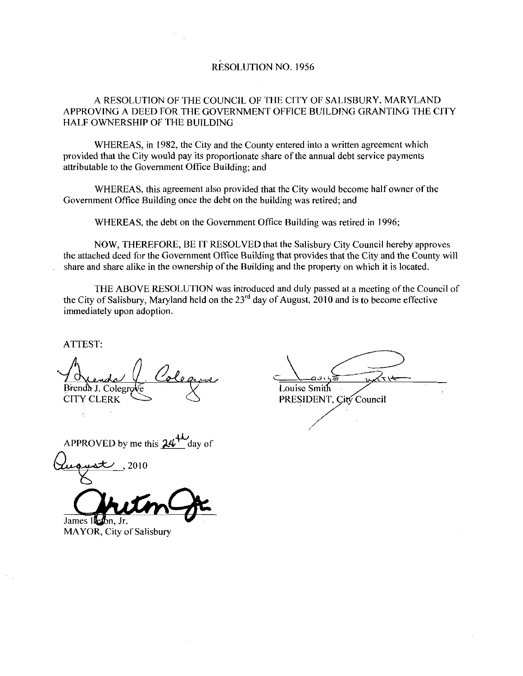#### RESOLUTION NO 1956

#### A RESOLUTION OF THE COUNCIL OF THE CITY OF SALISBURY. MARYLAND APPROVING A DEED FOR THE GOVERNMENT OFFTCE BUILDING GRANTING THE CITY HALF OWNERSHIP OF THE BUTLDING

WHEREAS, in 1982, the City and the County entered into a written agreement which provided that the City would pay its proportionate share of the annual debt service payments attributable to the Government Office Building; and

WHEREAS, this agreement also provided that the City would become half owner of the Government Office Building once the debt on the building was retired; and

WHEREAS, the debt on the Government Office Building was retired in 1996;

NOW, THEREFORE, BE IT RESOLVED that the Salisbury City Council hereby approves the attached deed for the Government Office Building that provides that the City and the County will share and share alike in the ownership of the Building and the property on which it is located.

THE ABOVE RESOLUTION was introduced and duly passed at a meeting of the Council of the City of Salisbury. Maryland held on the  $23<sup>rd</sup>$  day of August, 2010 and is to become effective immediately upon adoption

ATTEST

Brenda J. Colegro<br>CITY CLERK Colegrove X Louise Smi 7 Orenda V Coleanue<br>Brenda J. Colegrove Louise Smith<br>CITY CLERK SURPLERE PRESIDENT, City Council

APPROVED by me this  $24<sup>4</sup>$  day of

2010 James Ileabn, Jr.<br>MAYOR, City of Salisbury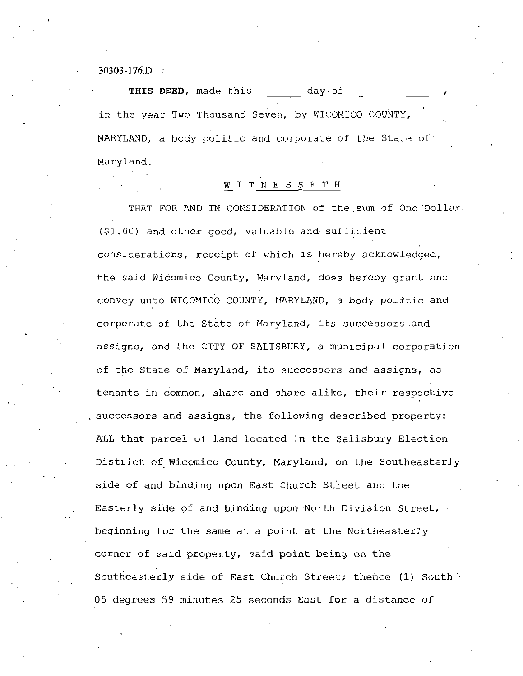$30303 - 176$ . D :

THIS DEED, made this day of in the year Two Thousand Seven, by WICOMICO COUNTY, MARYLAND, a body politic and corporate of the State of Maryland

#### W I T N E S S E T H

THAT FOR AND IN CONSIDERATION of the sum of One Dollar  $(91.00)$  and other good, valuable and sufficient considerations, receipt of which is hereby acknowledged, the said Wicomico County, Maryland, does hereby grant and convey unto WICOMICO COUNTY, MARYLAND, a body politic and corporate of the State of Maryland, its successors and assigns, and the CITY OF SALISBURY, a municipal corporation of the State of Maryland, its successors and assigns, as tenants in common, share and share alike, their respective successors and assigns, the following described property: ALL that parcel of land located in the Salisbury Election District of Wicomico County, Maryland, on the Southeasterly side of and binding upon East Church Street and the Easterly side of and binding upon North Division Street beginning for the same at <sup>a</sup> point at the Northeasterly corner of said property, said point being on the Southeasterly side of East Church Street; thence (1) South <sup>05</sup> degrees <sup>59</sup> minutes <sup>25</sup> seconds East for <sup>a</sup> distance of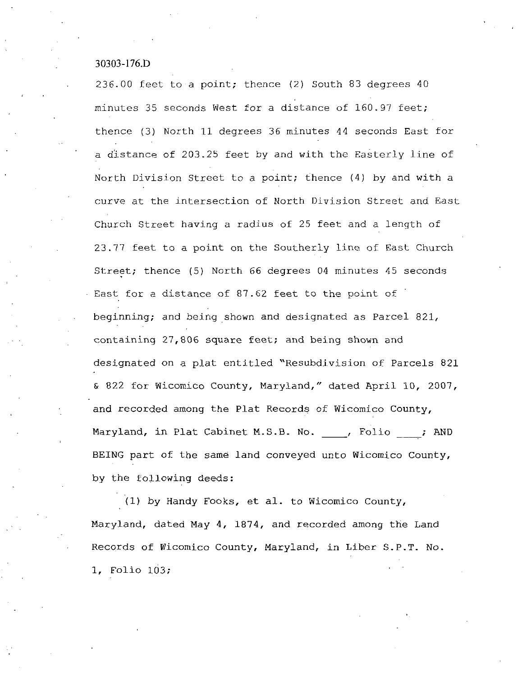# $30303 - 176 \text{ D}$

 $30303$ -176.D<br>236.00 feet to a point; thence (2) South 83 degrees 40 minutes 35 seconds West for a distance of  $160.97$  feet; thence (3) North 11 degrees 36 minutes 44 seconds East for a distance of 203.25 feet by and with the Easterly line of North Division Street to a point; thence  $(4)$  by and with a curve at the intersection of North Division Street and East Church Street having <sup>a</sup> radius of <sup>25</sup> feet and <sup>a</sup> length of 23.77 feet to a point on the Southerly line of East Church Street; thence (5) North 66 degrees 04 minutes 45 seconds East for a distance of 87.62 feet to the point of beginning; and being shown and designated as Parcel 821, containing  $27,806$  square feet; and being shown and designated on a plat entitled "Resubdivision of Parcels 821 & 822 for Wicomico County, Maryland," dated April 10, 2007, and recorded among the Plat Records of Wicomico County, Maryland, in Plat Cabinet M.S.B. No. (a) Folio : AND BEING part of the same land conveyed unto Wicomico County, by the following deeds

(1) by Handy Fooks, et al. to Wicomico County, Maryland, dated May 4, 1874, and recorded among the Land Maryland, dated May 4, 1874, and recorded among the Land<br>Records of Wicomico County, Maryland, in Liber S.P.T. No. 1, Folio 103;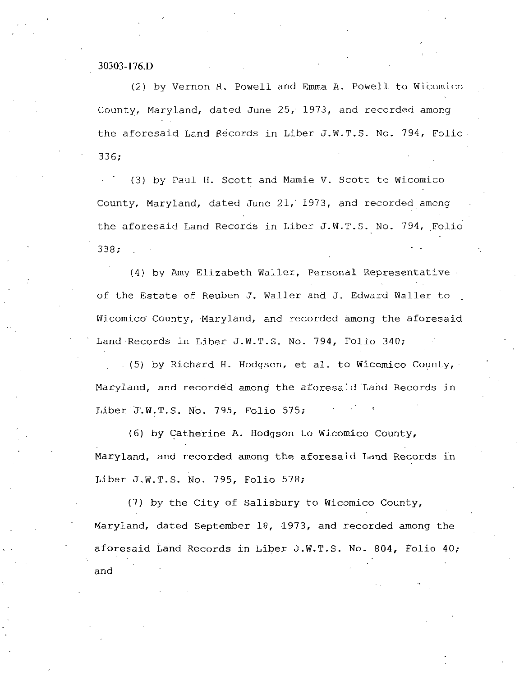$30303 - 176 \text{ D}$ <br>(2) b (2) by Vernon H. Powell and Emma A. Powell to Wicomico County, Maryland, dated June  $25/1973$ , and recorded among 10303-176.<br>
(2) by Vernon H. Powell and Emma A. Powell to Wicomico<br>
County, Maryland, dated June 25, 1973, and recorded among<br>
the aforesaid Land Records in Liber J.W.T.S. No. 794, Folio<br>
336; 336:

(3) by Paul H. Scott and Mamie V. Scott to Wicomico County, Maryland, dated June 21, 1973, and recorded among (3) by Paul H. Scott and Mamie V. Scott to Wicomico<br>County, Maryland, dated June 21, 1973, and recorded among<br>the aforesaid Land Records in Liber J.W.T.S. No. 794, Folio<br>338; 338

(4) by Amy Elizabeth Waller, Personal Representative of the Estate of Reuben J. Waller and J. Edward Waller to Wicomico County, Maryland, and recorded among the aforesaid (4) by Amy Elizabeth Waller, Personal Represe<br>of the Estate of Reuben J. Waller and J. Edward Wa<br>Wicomico County, Maryland, and recorded among the<br>Land Records in Liber J.W.T.S. No. 794, Folio 340;<br>(5) by Richard H. Hodgso of the Estate of Reuben J. Waller<br>Wicomico County, Maryland, and rec<br>Land Records in Liber J.W.T.S. No.<br>(5) by Richard H. Hodgson, et<br>Maryland, and recorded among the a<br>Liber J.W.T.S. No. 795, Folio 575;<br>(6) by Catherine A

 $(5)$  by Richard H. Hodgson, et al. to Wicomico County, Maryland, and recorded among the aforesaid Land Records in

(6) by Catherine A. Hodgson to Wicomico County, Maryland, and recorded among the aforesaid Land Records in Liber J.W.T.S. No. 795, Folio 575;<br>
(6) by Catherine A. Hodgson t<br>
Maryland, and recorded among the a<br>
Liber J.W.T.S. No. 795, Folio 578;<br>
(7) by the City of Salisbury

Liber J.W.T.S. No. 795, Folio 578;<br>(7) by the City of Salisbury to Wicomico County, Maryland, dated September 18, 1973, and recorded among the Liber J.W.T.S. No. 795, Folio 578;<br>
(7) by the City of Salisbury to Wicomico County,<br>
Maryland, dated September 18, 1973, and recorded among the<br>
aforesaid Land Records in Liber J.W.T.S. No. 804, Folio 40;<br>
and and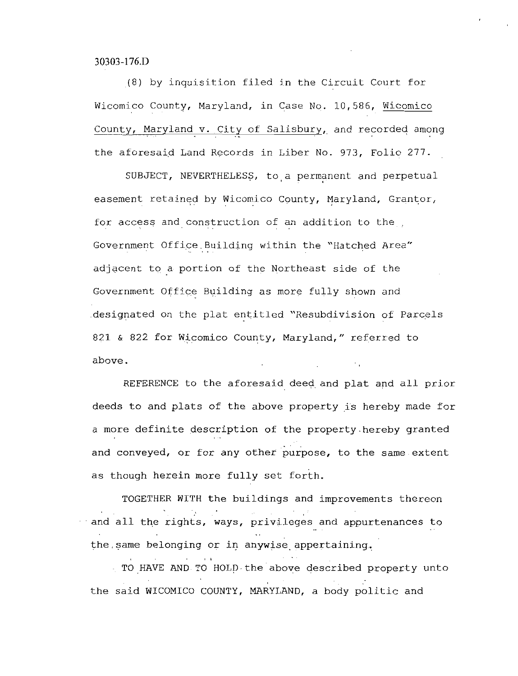#### 30303-176.D

8 by inquisition filed in the Circuit Court for Wicomico County, Maryland, in Case No. 10,586, Wicomico County, Maryland v. City of Salisbury, and recorded among

the aforesaid Land Records in Liber No. 973, Folio 277.<br>SUBJECT, NEVERTHELESS, to a permanent and perpetual easement retained by Wicomico County, Maryland, Grantor, for access and construction of an addition to the Government Office Building within the "Hatched Area" adjacent to <sup>a</sup> portion of the Northeast side of the Government Office Building as more fully shown and designated on the plat entitled "Resubdivision of Parcels 821 & 822 for Wicomico County, Maryland," referred to above

REFERENCE to the aforesaid deed and plat and all prior deeds to and plats of the above property is hereby made for <sup>a</sup> more definite description of the property hereby granted and conveyed, or for any other purpose, to the same extent as though herein more fully set forth.

TOGETHER WITH the buildings and improvements thereon and all the rights, ways, privileges and appurtenances to the same belonging or in anywise appertaining.

TO HAVE AND TO HOLD the above described property unto the said WICOMICO COUNTY, MARYLAND, a body politic and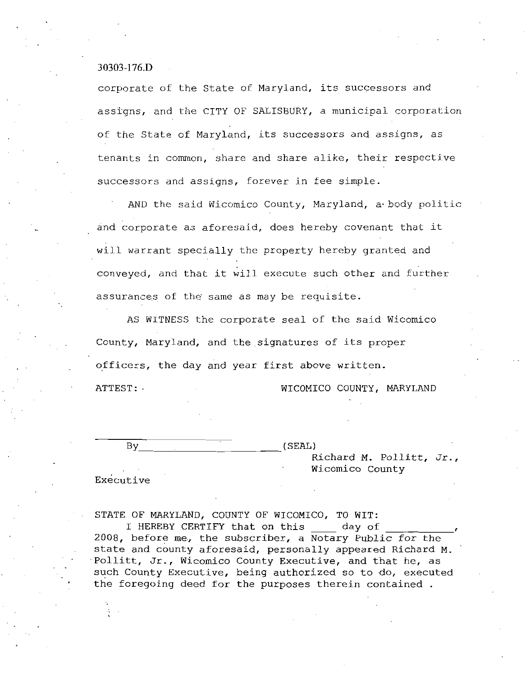30303-176.D

corporate of the State of Maryland, its successors and assigns, and the CITY OF SALISBURY, a municipal corporation of the State of Maryland, its successors and assigns, as tenants in common, share and share alike, their respective successors and assigns, forever in fee simple.

AND the said Wicomico County, Maryland, a body politic and corporate as aforesaid, does hereby covenant that it will warrant specially the property hereby granted and conveyed, and that it will execute such other and further assurances of the same as may be requisite.

AS WITNESS the corporate seal of the said Wicomico County, Maryland, and the signatures of its proper officers, the day and year first above written. ATTEST: WICOMICO COUNTY, MARYLAND

 $\mathbf{B}\mathbf{y}$  (SEAL)

Richard M. Pollitt, Jr., Wicomico County

Executive

STATE OF MARYLAND, COUNTY OF WICOMICO, TO WIT:

I HEREBY CERTIFY that on this \_\_\_\_ day of 2008, before me, the subscriber, a Notary Public for the state and county aforesaid, personally appeared Richard M.<br>Pollitt, Jr., Wicomico County Executive, and that he, as Pollitt, Jr., Wicomico County Executive, and that he, as such County Executive, being authorized so to do, executed the foregoing deed for the purposes therein contained.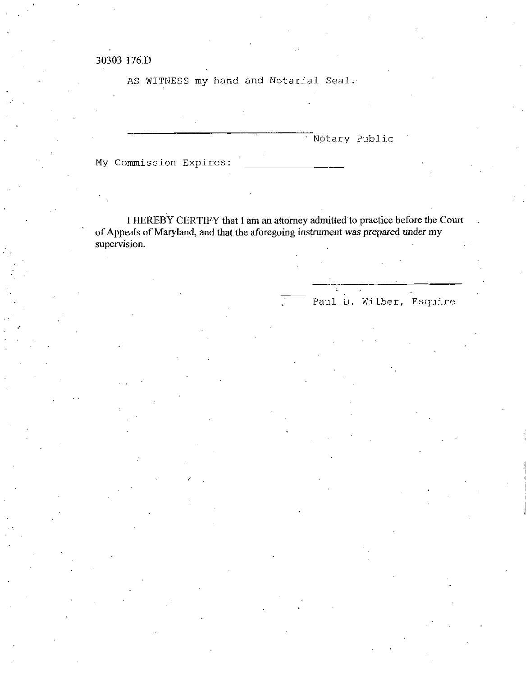#### 30303 176D

AS WITNESS my hand and Notarial Seal.

Notary Public

My Commission Expires

I HEREBY CERTIFY that I am an attorney admitted to practice before the Court of Appeals of Maryland, and that the aforegoing instrument was prepared under my supervision.

Paul D. Wilber, Esquire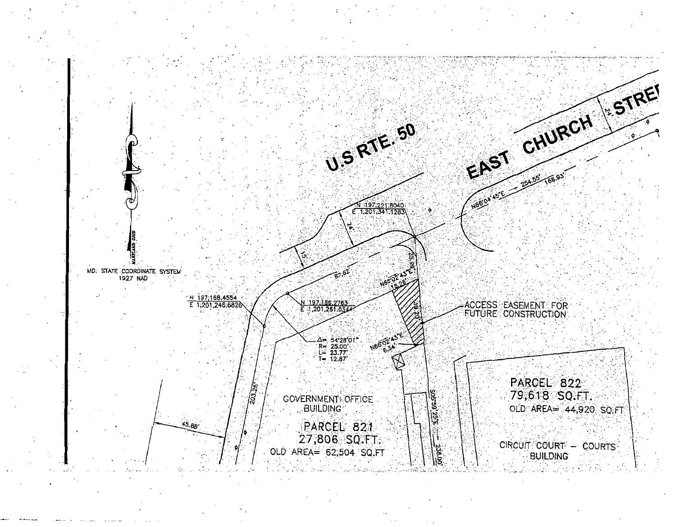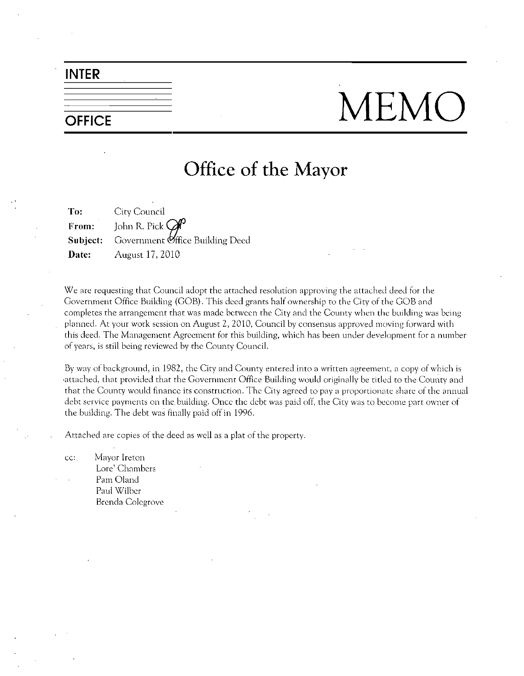#### INTER

## $\overline{\overline{\phantom{M}}_{\phantom{M}}\text{OFFICE}}$   $\overline{\phantom{M}}$   $\overline{\phantom{M}}$   $\overline{\phantom{M}}$   $\overline{\phantom{M}}$   $\overline{\phantom{M}}$   $\overline{\phantom{M}}$   $\overline{\phantom{M}}$   $\overline{\phantom{M}}$   $\overline{\phantom{M}}$   $\overline{\phantom{M}}$   $\overline{\phantom{M}}$   $\overline{\phantom{M}}$   $\overline{\phantom{M}}$   $\overline{\phantom{M}}$   $\overline{\phantom{M}}$   $\overline{\phantom{M}}$

### Office of the Mayor

To: City Council From: John R. Pick  $\mathcal G$ Subject: Government Office Building Deed **Date:** August 17, 2010

We are requesting that Council adopt the attached resolution approving the attached deed for the Government Office Building (GOB). This deed grants half ownership to the City of the GOB and completes the arrangement that was made between the City and the County when the building was being planned. At your work session on August 2, 2010, Council by consensus approved moving forward with this deed The Management Agreement for this building which has been under development for <sup>a</sup> number of years, is still being reviewed by the County Council.

By way of background, in 1982, the City and County entered into a written agreement, a copy of which is attached, that provided that the Government Office Building would originally be titled to the County and that the County would finance its construction The City agreed to pay <sup>a</sup> proportionate share of the annual debt service payments on the building. Once the debt was paid off, the City was to become part owner of the building. The debt was finally paid off in 1996.

Attached are copies of the deed as well as <sup>a</sup> plat of the property

cc: Mayor Ireton Lore' Chambers Pam Oland Paul Wilber Brenda Colcgrove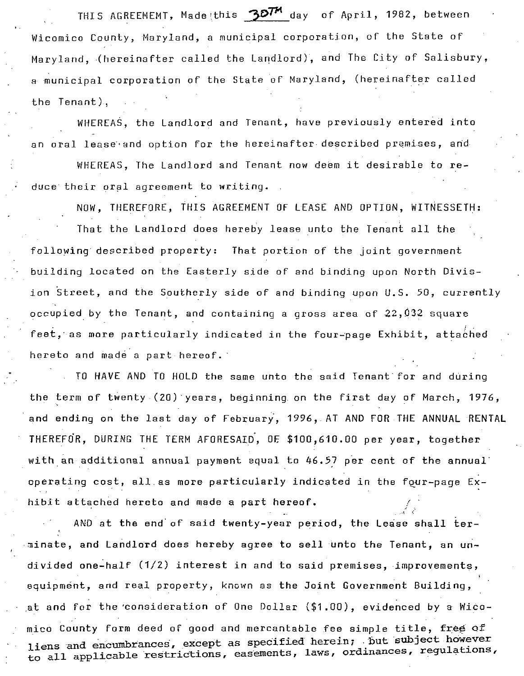THIS AGREEMEMT, Made this  $\mathcal{B}D^{TM}$  day of April, 1982, between Wicomico County, Maryland, a municipal corporation, of the State of Maryland, (hereinafter called the Landlord), and The City of Salisbury, a municipal corporation of the State of Maryland, (hereinafter called the Tenant).

WHEREAS. the Landlord and Tenant, have previously entered into an oral lease and option for the hereinafter described premises, and

WHEREAS, The Landlord and Tenant now deem it desirable to reduce their oral agreement to writing.

NOW, THEREFORE, THIS AGREEMENT OF LEASE AND OPTION, WITNESSETH:

That the Landlord does hereby lease unto the Tenant all the following described property: That portion of the joint government building located on the Easterly side of and binding upon North Divis ion Street, and the Southerly side of and binding upon U.S. 50, currently occupied by the Tenant, and containing a gross area of  $22,032$  square feet, as more particularly indicated in the four-page Exhibit, attached hereto and made a part hereof.

TO HAVE AND TO HOLD the same unto the said Tenant for and during the term of twenty  $(20)$  years, beginning on the first day of March, 1976, the term of twenty (20) years, beginning on the first day of March, 1976,<br>and ending on the last day of February, 1996, AT AND FOR THE ANNUAL RENTAL<br>THEREFOR, DURING THE TERM AFORESAID, OF \$100,610.00 per year, together THEREFOR, DURING THE TERM AFORESAID, OF \$100,610.00 per year, together<br>with an additional annual payment equal to 46.57 per cent of the annual operating cost, all as more particularly indicated in the four-page Exhibit attached hereto and made a part hereof.

AND at the end of said twenty-year period, the Lease shall terminate, and Landlord does hereby agree to sell unto the Tenant, an un-<br>divided one-half (1/2) interest in and to said premises, improvements, equipment, and real property, known as the Joint Government Building. divided one-half (1/2) interest in and to said premises, improvements,<br>equipment, and real property, known as the Joint Government Building,<br>at and for the consideration of One Dollar (\$1.00), evidenced by a Wicomico County form deed of good and mercantable fee simple title, free of mico County form deed of good and mercantable fee simple title, free of<br>liens and encumbrances, except as specified herein; but subject however mico county form deed of good and mercantable ree simple title, free of<br>liens and encumbrances, except as specified herein; but subject however<br>to all applicable restrictions, easements, laws, ordinances, regulations,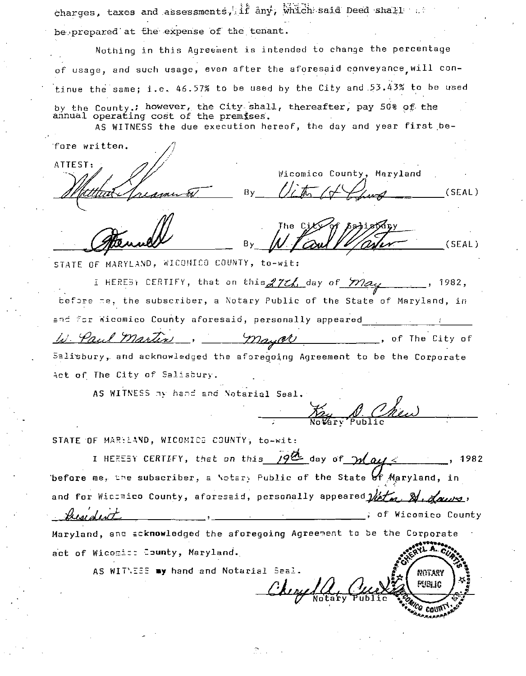charges, taxes and assessments, if any, which said Deed shall ... be prepared at the expense of the tenant.

Nothing in this Agreement is intended to change the percentage of usage, and such usage, even after the aforesaid conveyance will continue the same; i.e. 46.57% to be used by the City and 53.43% to be used by the County: however, the City shall, thereafter, pay 50% of the annual operating cost of the premises.

AS WITNESS the due execution hereof, the day and year first be-

fore written.

ATTEST:

Wicomico County, Maryland By  $(SEAL)$ 

By  $(SEAL)$ 

STATE OF MARYLAND. WICOMICO COUNTY, to-wit:

I HEREST CERTIFY, that on this 27th day of may 1982, before me, the subscriber, a Notary Public of the State of Maryland, in and for Wicomico County aforesaid, personally appeared W. Paul Martin , of The City of Mayor Salisbury, and acknowledged the aforegoing Agreement to be the Corporate Act of The City of Salisbury.

AS WITNESS my hand and Notarial Seal.

Key A Che

STATE OF MARYLAND, WICOMICS COUNTY, to-wit:

I HERESY CERTIFY, that on this  $19^{\circ}$  day of  $24$  all  $4$ 1982 before me, the subscriber, a Notary Public of the State of Maryland, in and for Wicchico County, aforesaid, personally appeared  $\mathcal{W}$ ,  $\mathcal{Y}$ , they deut ; of Wicomico County Maryland, and acknowledged the aforegoing Agreement to be the Corporate act of Wicomics County, Maryland.

AS WITNESS my hand and Notarial Seal.

NOTARY alber <sup>2</sup> Call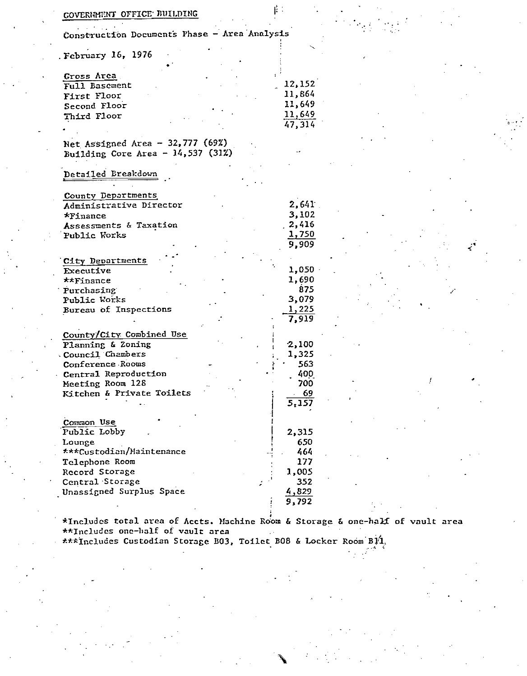| COVERNMENT OFFICE BUILDING                                                      | ドミ                                    |  |  |
|---------------------------------------------------------------------------------|---------------------------------------|--|--|
| Construction Documents Phase - Area Analysis                                    |                                       |  |  |
| February 16, 1976                                                               |                                       |  |  |
| Gross Area<br>Full Basement                                                     | 12,152                                |  |  |
| First Floor<br>Second Floor<br>Third Floor                                      | 11,864<br>11,649<br>11,649            |  |  |
|                                                                                 | 47,314                                |  |  |
| Net Assigned Area - $32,777$ (69%)<br>Building Core Area - $14,537$ (31%)       |                                       |  |  |
| Detailed Breakdown                                                              |                                       |  |  |
| County Departments<br>Administrative Director<br>*Finance                       | 2,641<br>3,102                        |  |  |
| Assessments & Taxation<br>Public Works                                          | 2,416<br><u>1,750</u>                 |  |  |
|                                                                                 | 9,909                                 |  |  |
| City Departments<br>Executive                                                   | 1,050                                 |  |  |
| **Finance<br>Purchasing<br>Public Works<br>Bureau of Inspections                | 1,690<br>875<br>3,079<br><u>1,225</u> |  |  |
| County/City Combined Use<br>Planning & Zoning                                   | 7,919<br>2,100                        |  |  |
| Council Chambers<br>Conference Rooms                                            | 1,325<br>563                          |  |  |
| Central Reproduction<br>Meeting Room 128<br>Kitchen & Private Toilets           | 400<br>700<br>$-69$                   |  |  |
| Common Use<br>Public Lobby                                                      | 5,157<br>2,315                        |  |  |
| Lounge<br>***Custodian/Maintenance                                              | 650<br>464                            |  |  |
| Telephone Room<br>Record Storage<br>Central Storage<br>Unassigned Surplus Space | 177<br>1,005<br>352<br>4,829          |  |  |

\*Includes total area of Accts. Machine Room & Storage & one-half of vault area \*Includes total area of Accts. Max.<br>\*\*Includes one-half of vault area

xxxIncludes Custodian Storage B03, Toilet B08 & Locker Room B14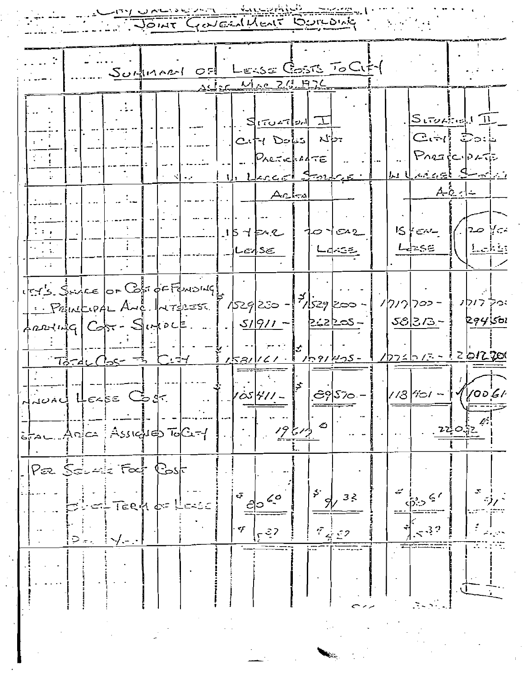DALIS CLOUGHLAND CONFORME

 $\ddot{\phantom{0}}$ 

ÿ  $\alpha^2$ 

11  $\frac{1}{2}$  ,  $\frac{1}{2}$ 

|                                                                                                                                                                                                                                                                                                                                                                                  |                   | Surfinant of Lesse Costs To City       |      |         |                           |  |              |  |                                             |          |                                                                                                     |
|----------------------------------------------------------------------------------------------------------------------------------------------------------------------------------------------------------------------------------------------------------------------------------------------------------------------------------------------------------------------------------|-------------------|----------------------------------------|------|---------|---------------------------|--|--------------|--|---------------------------------------------|----------|-----------------------------------------------------------------------------------------------------|
|                                                                                                                                                                                                                                                                                                                                                                                  |                   |                                        |      |         | 25/25 Mac 23, 476         |  |              |  |                                             |          |                                                                                                     |
|                                                                                                                                                                                                                                                                                                                                                                                  |                   |                                        |      |         |                           |  |              |  |                                             |          |                                                                                                     |
|                                                                                                                                                                                                                                                                                                                                                                                  |                   |                                        |      |         | $S_{10272}$               |  |              |  | String11                                    |          |                                                                                                     |
|                                                                                                                                                                                                                                                                                                                                                                                  |                   |                                        |      |         |                           |  |              |  | $ C - c $ $\mathbb{C}$ $\circ$ $\downarrow$ |          |                                                                                                     |
|                                                                                                                                                                                                                                                                                                                                                                                  |                   |                                        |      |         | $ C_1 $ $ C_2 $ $ C_1 $   |  |              |  |                                             |          |                                                                                                     |
|                                                                                                                                                                                                                                                                                                                                                                                  |                   |                                        |      |         | $P_{AETK}$ $MTE$          |  |              |  | PARACOPATE                                  |          |                                                                                                     |
|                                                                                                                                                                                                                                                                                                                                                                                  |                   |                                        | N 12 |         | <u>U. Lleccol Farlace</u> |  |              |  |                                             |          | <u>المالي مفددة كاحمايين</u>                                                                        |
|                                                                                                                                                                                                                                                                                                                                                                                  |                   |                                        |      |         | اد-ایمه                   |  |              |  |                                             | - A-C 센스 |                                                                                                     |
|                                                                                                                                                                                                                                                                                                                                                                                  |                   |                                        |      |         |                           |  |              |  |                                             |          |                                                                                                     |
|                                                                                                                                                                                                                                                                                                                                                                                  |                   |                                        |      |         |                           |  |              |  |                                             |          |                                                                                                     |
|                                                                                                                                                                                                                                                                                                                                                                                  |                   |                                        |      | 15752   |                           |  | 10102        |  | $15$ $45$                                   |          | $20$ $\frac{1}{2}$                                                                                  |
|                                                                                                                                                                                                                                                                                                                                                                                  |                   |                                        |      | _ LedS∈ |                           |  | <u>Ldess</u> |  | स्केट≅                                      |          | <u> Laks</u>                                                                                        |
|                                                                                                                                                                                                                                                                                                                                                                                  |                   |                                        |      |         |                           |  |              |  |                                             |          |                                                                                                     |
|                                                                                                                                                                                                                                                                                                                                                                                  |                   |                                        |      |         |                           |  |              |  |                                             |          |                                                                                                     |
| 1575 Since OF Copi of FONDING                                                                                                                                                                                                                                                                                                                                                    |                   |                                        |      |         |                           |  |              |  |                                             |          | יכיד דודן נ                                                                                         |
| $1. P_{\text{out}}$ $1. P_{\text{out}}$ $1. P_{\text{out}}$ $1. P_{\text{out}}$ $1. P_{\text{out}}$ $1. P_{\text{out}}$ $1. P_{\text{out}}$ $1. P_{\text{out}}$ $1. P_{\text{out}}$ $1. P_{\text{out}}$ $1. P_{\text{out}}$ $1. P_{\text{out}}$ $1. P_{\text{out}}$ $1. P_{\text{out}}$ $1. P_{\text{out}}$ $1. P_{\text{out}}$ $1. P_{\text{out}}$ $1. P_{\text{out}}$ $1. P_{$ |                   |                                        |      |         |                           |  |              |  | 1717 702 -                                  |          |                                                                                                     |
| Anning Cost - Sintect  1. 51911- 2:2205-                                                                                                                                                                                                                                                                                                                                         |                   |                                        |      |         |                           |  |              |  | JE 373.- }                                  |          | 294501                                                                                              |
|                                                                                                                                                                                                                                                                                                                                                                                  |                   |                                        |      |         |                           |  |              |  |                                             |          |                                                                                                     |
|                                                                                                                                                                                                                                                                                                                                                                                  |                   | $73 - d$ $C_2$ $S^2$ $S^2$ $C_1$ $d_1$ |      |         |                           |  |              |  |                                             |          | $1$ $1$ $1$ $2$ $0$ $1$ $2$ $1$ $1$ $1$ $1$ $1$ $2$ $1$ $2$ $1$ $1$ $2$ $1$ $1$ $2$ $0$ $1$ $1$ $0$ |
|                                                                                                                                                                                                                                                                                                                                                                                  |                   |                                        |      |         |                           |  |              |  |                                             |          |                                                                                                     |
|                                                                                                                                                                                                                                                                                                                                                                                  |                   |                                        |      |         |                           |  |              |  |                                             |          |                                                                                                     |
|                                                                                                                                                                                                                                                                                                                                                                                  | JUAL HELBE Codr.  |                                        |      |         |                           |  | ඌ√ూం –       |  |                                             |          | $1/3$ (101 - $1/1/006$                                                                              |
|                                                                                                                                                                                                                                                                                                                                                                                  |                   |                                        |      |         |                           |  |              |  |                                             |          |                                                                                                     |
|                                                                                                                                                                                                                                                                                                                                                                                  |                   | Assichteb ToCt                         |      |         |                           |  |              |  |                                             |          |                                                                                                     |
|                                                                                                                                                                                                                                                                                                                                                                                  |                   |                                        |      |         |                           |  |              |  |                                             |          |                                                                                                     |
|                                                                                                                                                                                                                                                                                                                                                                                  |                   |                                        |      |         |                           |  |              |  |                                             |          |                                                                                                     |
|                                                                                                                                                                                                                                                                                                                                                                                  | Yæ <i>Sdu∸l</i> a | Foct Cost                              |      |         |                           |  |              |  |                                             |          |                                                                                                     |
|                                                                                                                                                                                                                                                                                                                                                                                  |                   |                                        |      | ক       |                           |  | 33           |  |                                             |          |                                                                                                     |
|                                                                                                                                                                                                                                                                                                                                                                                  |                   |                                        |      |         |                           |  |              |  |                                             |          |                                                                                                     |
|                                                                                                                                                                                                                                                                                                                                                                                  |                   |                                        |      |         |                           |  |              |  |                                             |          |                                                                                                     |
|                                                                                                                                                                                                                                                                                                                                                                                  |                   |                                        |      | マ       |                           |  |              |  |                                             |          |                                                                                                     |
|                                                                                                                                                                                                                                                                                                                                                                                  |                   |                                        |      |         |                           |  |              |  |                                             |          |                                                                                                     |
|                                                                                                                                                                                                                                                                                                                                                                                  |                   |                                        |      |         |                           |  |              |  |                                             |          |                                                                                                     |
|                                                                                                                                                                                                                                                                                                                                                                                  |                   |                                        |      |         |                           |  |              |  |                                             |          |                                                                                                     |
|                                                                                                                                                                                                                                                                                                                                                                                  |                   |                                        |      |         |                           |  |              |  |                                             |          |                                                                                                     |
|                                                                                                                                                                                                                                                                                                                                                                                  |                   |                                        |      |         |                           |  |              |  |                                             |          |                                                                                                     |
|                                                                                                                                                                                                                                                                                                                                                                                  |                   |                                        |      |         |                           |  |              |  |                                             |          |                                                                                                     |
|                                                                                                                                                                                                                                                                                                                                                                                  |                   |                                        |      |         |                           |  |              |  |                                             |          |                                                                                                     |

 $\frac{1}{2}$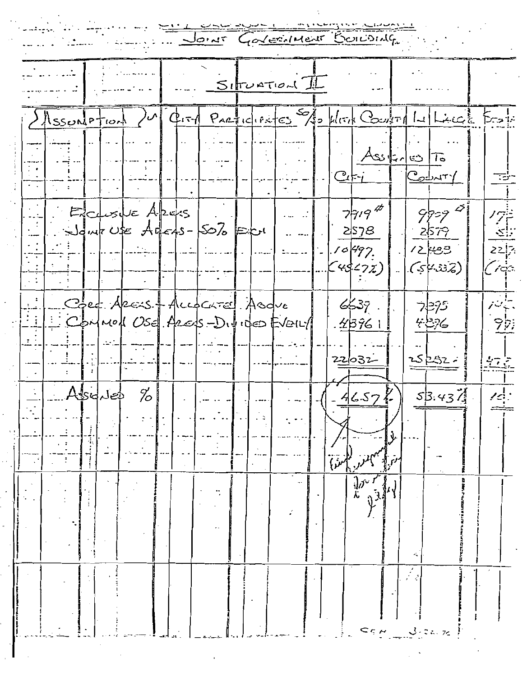JOINT GOVERNMENT BOILDING  $S$ IFURTION City PARTICLES 10 WEEK COUPER LA LACCE FOR Assortation  $Asi:10$  $Ct-i$  $C_0$ dury ⋽⋽ Eclisic Azers  $98 - 97$  $77/9$ ノグミ 2578 -2579 公  $-1.10497$ وويإح براح  $\vert \zeta$  45.  $\langle 2z \rangle$  $|S^{\mu}32\rangle$ Cros Care Arest Accocated Asque  $6537$  . 7295 تيزمنانر Common Use Ares-Divides Event  $43761$  $\mathcal{P}(\mathcal{V})$ 4876  $\overline{\mathbb{R}}$ 25252- $22032$ - 全てる Assoluted  $\%$  $53.434$  $46.57K$  $\mathcal{L}$ بهمتر للمنق  $\frac{1}{2}$  $\frac{1}{\lambda} \frac{\partial^{\alpha}}{\partial \lambda}$  $c_{5,4}$  3  $c_{4,72}$